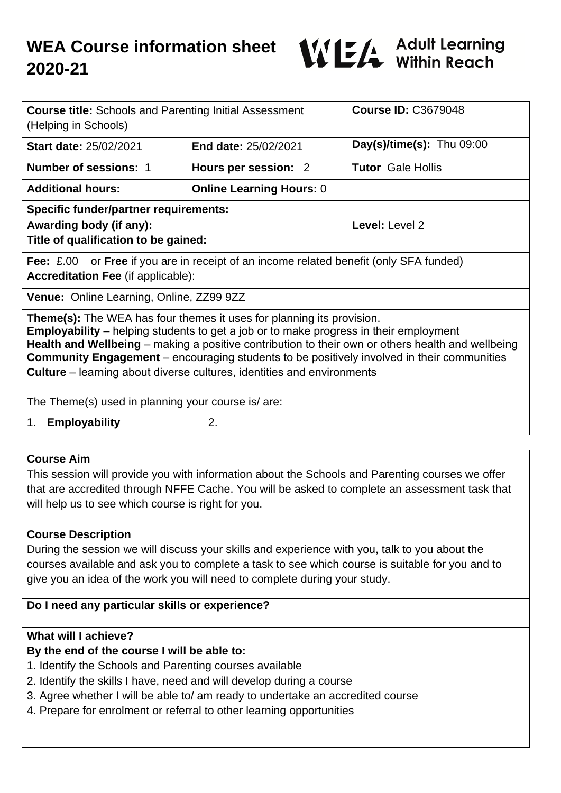

| <b>Course title:</b> Schools and Parenting Initial Assessment<br>(Helping in Schools)                                                                                                                                                                                                                                                                                                                                                                                   |                                 | <b>Course ID: C3679048</b> |
|-------------------------------------------------------------------------------------------------------------------------------------------------------------------------------------------------------------------------------------------------------------------------------------------------------------------------------------------------------------------------------------------------------------------------------------------------------------------------|---------------------------------|----------------------------|
| <b>Start date: 25/02/2021</b>                                                                                                                                                                                                                                                                                                                                                                                                                                           | <b>End date: 25/02/2021</b>     | Day(s)/time(s): Thu 09:00  |
| <b>Number of sessions: 1</b>                                                                                                                                                                                                                                                                                                                                                                                                                                            | Hours per session: 2            | <b>Tutor</b> Gale Hollis   |
| <b>Additional hours:</b>                                                                                                                                                                                                                                                                                                                                                                                                                                                | <b>Online Learning Hours: 0</b> |                            |
| <b>Specific funder/partner requirements:</b>                                                                                                                                                                                                                                                                                                                                                                                                                            |                                 |                            |
| Awarding body (if any):                                                                                                                                                                                                                                                                                                                                                                                                                                                 |                                 | Level: Level 2             |
| Title of qualification to be gained:                                                                                                                                                                                                                                                                                                                                                                                                                                    |                                 |                            |
| <b>Fee:</b> £.00 or <b>Free</b> if you are in receipt of an income related benefit (only SFA funded)<br><b>Accreditation Fee (if applicable):</b>                                                                                                                                                                                                                                                                                                                       |                                 |                            |
| Venue: Online Learning, Online, ZZ99 9ZZ                                                                                                                                                                                                                                                                                                                                                                                                                                |                                 |                            |
| <b>Theme(s):</b> The WEA has four themes it uses for planning its provision.<br><b>Employability</b> – helping students to get a job or to make progress in their employment<br>Health and Wellbeing – making a positive contribution to their own or others health and wellbeing<br><b>Community Engagement</b> – encouraging students to be positively involved in their communities<br><b>Culture</b> – learning about diverse cultures, identities and environments |                                 |                            |
| The Theme(s) used in planning your course is/ are:                                                                                                                                                                                                                                                                                                                                                                                                                      |                                 |                            |
| <b>Employability</b><br>1.                                                                                                                                                                                                                                                                                                                                                                                                                                              | 2.                              |                            |
|                                                                                                                                                                                                                                                                                                                                                                                                                                                                         |                                 |                            |
| <b>Course Aim</b>                                                                                                                                                                                                                                                                                                                                                                                                                                                       |                                 |                            |
| This session will provide you with information about the Schools and Parenting courses we offer                                                                                                                                                                                                                                                                                                                                                                         |                                 |                            |
| that are accredited through NFFE Cache. You will be asked to complete an assessment task that                                                                                                                                                                                                                                                                                                                                                                           |                                 |                            |

**Course Description**

During the session we will discuss your skills and experience with you, talk to you about the courses available and ask you to complete a task to see which course is suitable for you and to give you an idea of the work you will need to complete during your study.

# **Do I need any particular skills or experience?**

will help us to see which course is right for you.

# **What will I achieve?**

# **By the end of the course I will be able to:**

- 1. Identify the Schools and Parenting courses available
- 2. Identify the skills I have, need and will develop during a course
- 3. Agree whether I will be able to/ am ready to undertake an accredited course
- 4. Prepare for enrolment or referral to other learning opportunities